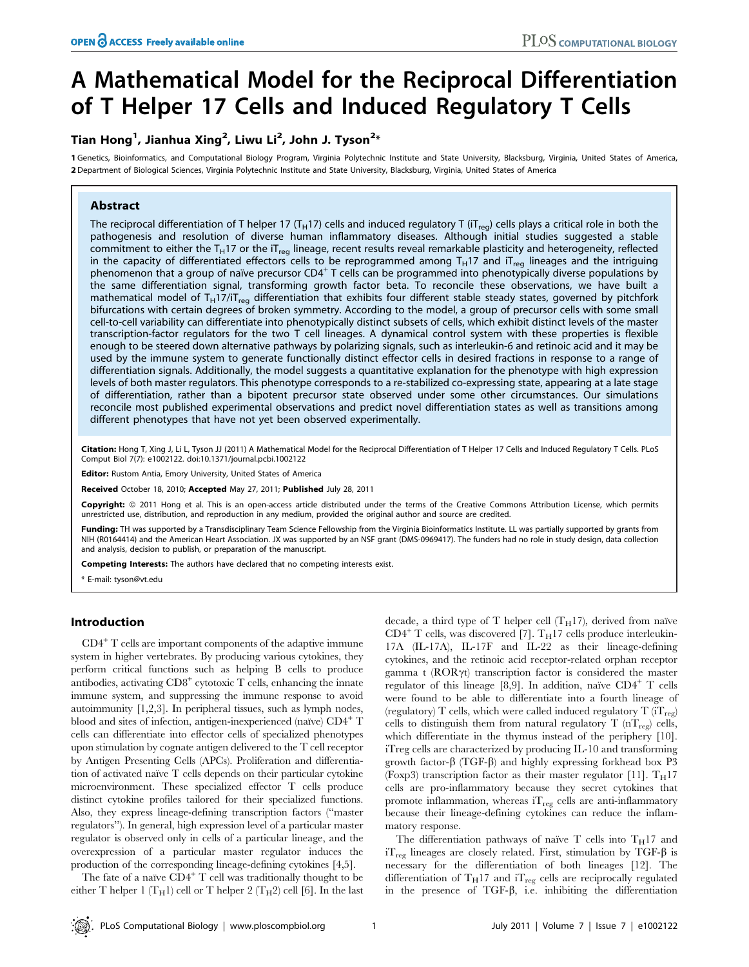# A Mathematical Model for the Reciprocal Differentiation of T Helper 17 Cells and Induced Regulatory T Cells

## Tian Hong $^1$ , Jianhua Xing $^2$ , Liwu Li $^2$ , John J. Tyson $^{2\ast}$

1 Genetics, Bioinformatics, and Computational Biology Program, Virginia Polytechnic Institute and State University, Blacksburg, Virginia, United States of America, 2 Department of Biological Sciences, Virginia Polytechnic Institute and State University, Blacksburg, Virginia, United States of America

## Abstract

The reciprocal differentiation of T helper 17 (T<sub>H</sub>17) cells and induced regulatory T (iT<sub>reg</sub>) cells plays a critical role in both the pathogenesis and resolution of diverse human inflammatory diseases. Although initial studies suggested a stable commitment to either the T<sub>H</sub>17 or the iT<sub>reg</sub> lineage, recent results reveal remarkable plasticity and heterogeneity, reflected in the capacity of differentiated effectors cells to be reprogrammed among  $T_H$ 17 and iT<sub>reg</sub> lineages and the intriguing phenomenon that a group of naïve precursor  $CD4^+$  T cells can be programmed into phenotypically diverse populations by the same differentiation signal, transforming growth factor beta. To reconcile these observations, we have built a mathematical model of T<sub>H</sub>17/iT<sub>reg</sub> differentiation that exhibits four different stable steady states, governed by pitchfork bifurcations with certain degrees of broken symmetry. According to the model, a group of precursor cells with some small cell-to-cell variability can differentiate into phenotypically distinct subsets of cells, which exhibit distinct levels of the master transcription-factor regulators for the two T cell lineages. A dynamical control system with these properties is flexible enough to be steered down alternative pathways by polarizing signals, such as interleukin-6 and retinoic acid and it may be used by the immune system to generate functionally distinct effector cells in desired fractions in response to a range of differentiation signals. Additionally, the model suggests a quantitative explanation for the phenotype with high expression levels of both master regulators. This phenotype corresponds to a re-stabilized co-expressing state, appearing at a late stage of differentiation, rather than a bipotent precursor state observed under some other circumstances. Our simulations reconcile most published experimental observations and predict novel differentiation states as well as transitions among different phenotypes that have not yet been observed experimentally.

Citation: Hong T, Xing J, Li L, Tyson JJ (2011) A Mathematical Model for the Reciprocal Differentiation of T Helper 17 Cells and Induced Regulatory T Cells. PLoS Comput Biol 7(7): e1002122. doi:10.1371/journal.pcbi.1002122

Editor: Rustom Antia, Emory University, United States of America

Received October 18, 2010; Accepted May 27, 2011; Published July 28, 2011

Copyright: © 2011 Hong et al. This is an open-access article distributed under the terms of the Creative Commons Attribution License, which permits unrestricted use, distribution, and reproduction in any medium, provided the original author and source are credited.

Funding: TH was supported by a Transdisciplinary Team Science Fellowship from the Virginia Bioinformatics Institute. LL was partially supported by grants from NIH (R0164414) and the American Heart Association. JX was supported by an NSF grant (DMS-0969417). The funders had no role in study design, data collection and analysis, decision to publish, or preparation of the manuscript.

Competing Interests: The authors have declared that no competing interests exist.

\* E-mail: tyson@vt.edu

#### Introduction

 $CD4^+$  T cells are important components of the adaptive immune system in higher vertebrates. By producing various cytokines, they perform critical functions such as helping B cells to produce antibodies, activating  $CD8<sup>+</sup>$  cytotoxic T cells, enhancing the innate immune system, and suppressing the immune response to avoid autoimmunity [1,2,3]. In peripheral tissues, such as lymph nodes, blood and sites of infection, antigen-inexperienced (naïve)  $CD4^+$  T cells can differentiate into effector cells of specialized phenotypes upon stimulation by cognate antigen delivered to the T cell receptor by Antigen Presenting Cells (APCs). Proliferation and differentiation of activated naïve  $T$  cells depends on their particular cytokine microenvironment. These specialized effector T cells produce distinct cytokine profiles tailored for their specialized functions. Also, they express lineage-defining transcription factors (''master regulators''). In general, high expression level of a particular master regulator is observed only in cells of a particular lineage, and the overexpression of a particular master regulator induces the production of the corresponding lineage-defining cytokines [4,5].

The fate of a naïve  $CD4^+$  T cell was traditionally thought to be either T helper 1 (T<sub>H</sub>1) cell or T helper 2 (T<sub>H</sub>2) cell [6]. In the last decade, a third type of T helper cell  $(T_H17)$ , derived from naïve  $CD4^+$  T cells, was discovered [7].  $T_H17$  cells produce interleukin-17A (IL-17A), IL-17F and IL-22 as their lineage-defining cytokines, and the retinoic acid receptor-related orphan receptor gamma t  $(ROR\gamma t)$  transcription factor is considered the master regulator of this lineage [8,9]. In addition, naïve  $CD4^+$  T cells were found to be able to differentiate into a fourth lineage of (regulatory) T cells, which were called induced regulatory T  $(T<sub>res</sub>)$ cells to distinguish them from natural regulatory T  $(nT_{reg})$  cells, which differentiate in the thymus instead of the periphery [10]. iTreg cells are characterized by producing IL-10 and transforming growth factor- $\beta$  (TGF- $\beta$ ) and highly expressing forkhead box P3 (Foxp3) transcription factor as their master regulator [11].  $T_H17$ cells are pro-inflammatory because they secret cytokines that promote inflammation, whereas  $iT_{reg}$  cells are anti-inflammatory because their lineage-defining cytokines can reduce the inflammatory response.

The differentiation pathways of naïve T cells into  $T_H17$  and  $i_{\text{reg}}$  lineages are closely related. First, stimulation by TGF- $\beta$  is necessary for the differentiation of both lineages [12]. The differentiation of  $T_H$ 17 and  $T_{reg}$  cells are reciprocally regulated in the presence of  $TGF- $\beta$ , i.e. inhibiting the differentiation$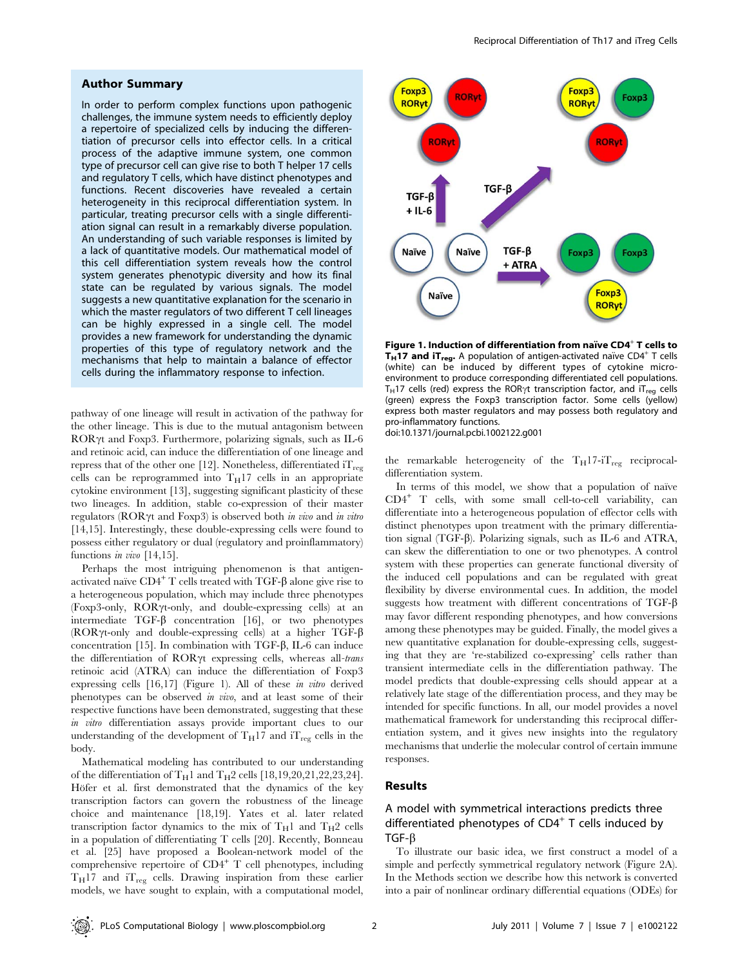#### Author Summary

In order to perform complex functions upon pathogenic challenges, the immune system needs to efficiently deploy a repertoire of specialized cells by inducing the differentiation of precursor cells into effector cells. In a critical process of the adaptive immune system, one common type of precursor cell can give rise to both T helper 17 cells and regulatory T cells, which have distinct phenotypes and functions. Recent discoveries have revealed a certain heterogeneity in this reciprocal differentiation system. In particular, treating precursor cells with a single differentiation signal can result in a remarkably diverse population. An understanding of such variable responses is limited by a lack of quantitative models. Our mathematical model of this cell differentiation system reveals how the control system generates phenotypic diversity and how its final state can be regulated by various signals. The model suggests a new quantitative explanation for the scenario in which the master regulators of two different T cell lineages can be highly expressed in a single cell. The model provides a new framework for understanding the dynamic properties of this type of regulatory network and the mechanisms that help to maintain a balance of effector cells during the inflammatory response to infection.

pathway of one lineage will result in activation of the pathway for the other lineage. This is due to the mutual antagonism between  $ROR\gamma t$  and Foxp3. Furthermore, polarizing signals, such as IL-6 and retinoic acid, can induce the differentiation of one lineage and repress that of the other one [12]. Nonetheless, differentiated  $iT_{reg}$ cells can be reprogrammed into  $T_H17$  cells in an appropriate cytokine environment [13], suggesting significant plasticity of these two lineages. In addition, stable co-expression of their master regulators ( $ROR\gamma t$  and  $F\alpha p3$ ) is observed both in vivo and in vitro [14,15]. Interestingly, these double-expressing cells were found to possess either regulatory or dual (regulatory and proinflammatory) functions in vivo [14,15].

Perhaps the most intriguing phenomenon is that antigenactivated naïve  $CD4^+$  T cells treated with TGF- $\beta$  alone give rise to a heterogeneous population, which may include three phenotypes (Foxp3-only, RORyt-only, and double-expressing cells) at an intermediate TGF- $\beta$  concentration [16], or two phenotypes (ROR $\gamma$ t-only and double-expressing cells) at a higher TGF- $\beta$ concentration [15]. In combination with TGF- $\beta$ , IL-6 can induce the differentiation of  $ROR\gamma t$  expressing cells, whereas all-trans retinoic acid (ATRA) can induce the differentiation of Foxp3 expressing cells [16,17] (Figure 1). All of these in vitro derived phenotypes can be observed in vivo, and at least some of their respective functions have been demonstrated, suggesting that these in vitro differentiation assays provide important clues to our understanding of the development of  $T_H$ 17 and  $T_{reg}$  cells in the body.

Mathematical modeling has contributed to our understanding of the differentiation of  $T_H1$  and  $T_H2$  cells [18,19,20,21,22,23,24]. Höfer et al. first demonstrated that the dynamics of the key transcription factors can govern the robustness of the lineage choice and maintenance [18,19]. Yates et al. later related transcription factor dynamics to the mix of  $T_H1$  and  $T_H2$  cells in a population of differentiating T cells [20]. Recently, Bonneau et al. [25] have proposed a Boolean-network model of the comprehensive repertoire of  $CD4^+$  T cell phenotypes, including  $T_H$ 17 and  $T_{reg}$  cells. Drawing inspiration from these earlier models, we have sought to explain, with a computational model,



Figure 1. Induction of differentiation from naı̈ve CD4<sup>+</sup> T cells to **T<sub>H</sub>17 and iT<sub>reg</sub>.** A population of antigen-activated naı̈ve CD4<sup>+</sup> T cells (white) can be induced by different types of cytokine microenvironment to produce corresponding differentiated cell populations.  $T_H$ 17 cells (red) express the ROR $\gamma$ t transcription factor, and iT<sub>reg</sub> cells (green) express the Foxp3 transcription factor. Some cells (yellow) express both master regulators and may possess both regulatory and pro-inflammatory functions.

doi:10.1371/journal.pcbi.1002122.g001

the remarkable heterogeneity of the  $T_H17$ -i $T_{reg}$  reciprocaldifferentiation system.

In terms of this model, we show that a population of naïve  $CD4^+$  T cells, with some small cell-to-cell variability, can differentiate into a heterogeneous population of effector cells with distinct phenotypes upon treatment with the primary differentiation signal (TGF-b). Polarizing signals, such as IL-6 and ATRA, can skew the differentiation to one or two phenotypes. A control system with these properties can generate functional diversity of the induced cell populations and can be regulated with great flexibility by diverse environmental cues. In addition, the model suggests how treatment with different concentrations of TGF- $\beta$ may favor different responding phenotypes, and how conversions among these phenotypes may be guided. Finally, the model gives a new quantitative explanation for double-expressing cells, suggesting that they are 're-stabilized co-expressing' cells rather than transient intermediate cells in the differentiation pathway. The model predicts that double-expressing cells should appear at a relatively late stage of the differentiation process, and they may be intended for specific functions. In all, our model provides a novel mathematical framework for understanding this reciprocal differentiation system, and it gives new insights into the regulatory mechanisms that underlie the molecular control of certain immune responses.

#### Results

## A model with symmetrical interactions predicts three differentiated phenotypes of  $CD4<sup>+</sup>$  T cells induced by  $TGF- $\beta$$

To illustrate our basic idea, we first construct a model of a simple and perfectly symmetrical regulatory network (Figure 2A). In the Methods section we describe how this network is converted into a pair of nonlinear ordinary differential equations (ODEs) for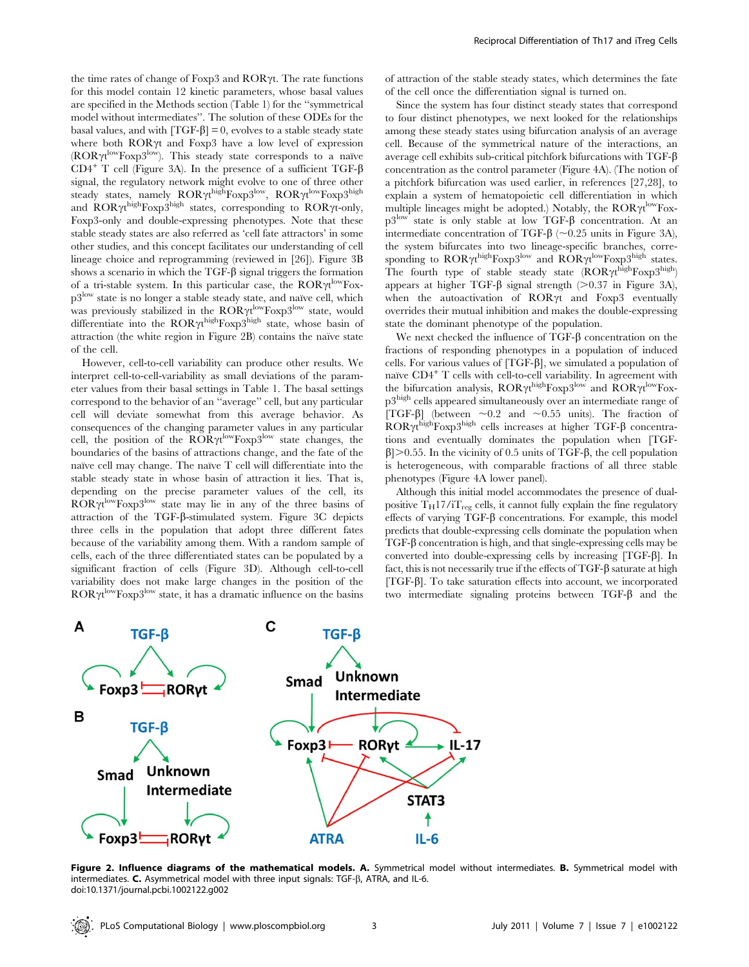the time rates of change of Foxp3 and  $ROR\gamma t$ . The rate functions for this model contain 12 kinetic parameters, whose basal values are specified in the Methods section (Table 1) for the ''symmetrical model without intermediates''. The solution of these ODEs for the basal values, and with  $[TGF- $\beta$ ] = 0$ , evolves to a stable steady state where both ROR $\gamma$ t and Foxp3 have a low level of expression ( $ROR\gamma t^{\text{low}}F\text{ox}p3^{\text{low}}$ ). This steady state corresponds to a naïve CD4<sup>+</sup> T cell (Figure 3A). In the presence of a sufficient TGF- $\beta$ signal, the regulatory network might evolve to one of three other steady states, namely  $\text{ROR}\gamma\text{t}^{\text{high}}\text{Foxp3}^{\text{low}}, \ \text{ROR}\gamma\text{t}^{\text{low}}\text{Foxp3}^{\text{high}}$ and ROR $\gamma t^{\text{high}}$ Foxp3high states, corresponding to ROR $\gamma$ t-only, Foxp3-only and double-expressing phenotypes. Note that these stable steady states are also referred as 'cell fate attractors' in some other studies, and this concept facilitates our understanding of cell lineage choice and reprogramming (reviewed in [26]). Figure 3B shows a scenario in which the TGF- $\beta$  signal triggers the formation of a tri-stable system. In this particular case, the  $ROR\gamma t^{\rm low}F{\rm ox-}$  $p3$ <sup>low</sup> state is no longer a stable steady state, and naïve cell, which was previously stabilized in the ROR $\gamma t^{\rm low}$ Foxp3<sup>low</sup> state, would differentiate into the  $\text{ROR}\gamma\text{t}^{\text{high}}\text{Foxp3}^{\text{high}}$  state, whose basin of attraction (the white region in Figure 2B) contains the naïve state of the cell.

However, cell-to-cell variability can produce other results. We interpret cell-to-cell-variability as small deviations of the parameter values from their basal settings in Table 1. The basal settings correspond to the behavior of an ''average'' cell, but any particular cell will deviate somewhat from this average behavior. As consequences of the changing parameter values in any particular cell, the position of the  $\overline{ROR}\gamma t^{\text{low}}F\text{exp}3^{\text{low}}$  state changes, the boundaries of the basins of attractions change, and the fate of the naïve cell may change. The naïve T cell will differentiate into the stable steady state in whose basin of attraction it lies. That is, depending on the precise parameter values of the cell, its  $\widehat{ROR}\gamma t^{\mathrm{low}}F\mathrm{exp}3^{\mathrm{low}}$  state may lie in any of the three basins of attraction of the TGF-b-stimulated system. Figure 3C depicts three cells in the population that adopt three different fates because of the variability among them. With a random sample of cells, each of the three differentiated states can be populated by a significant fraction of cells (Figure 3D). Although cell-to-cell variability does not make large changes in the position of the  $ROR\gamma t^{\rm low}$ Foxp3low state, it has a dramatic influence on the basins

of attraction of the stable steady states, which determines the fate of the cell once the differentiation signal is turned on.

Since the system has four distinct steady states that correspond to four distinct phenotypes, we next looked for the relationships among these steady states using bifurcation analysis of an average cell. Because of the symmetrical nature of the interactions, an average cell exhibits sub-critical pitchfork bifurcations with  $TGF-\beta$ concentration as the control parameter (Figure 4A). (The notion of a pitchfork bifurcation was used earlier, in references [27,28], to explain a system of hematopoietic cell differentiation in which multiple lineages might be adopted.) Notably, the  $ROR\gamma t^{\rm low}F{\rm ox}$  $p3$ low state is only stable at low TGF- $\beta$  concentration. At an intermediate concentration of TGF- $\beta$  ( $\sim$ 0.25 units in Figure 3A), the system bifurcates into two lineage-specific branches, corresponding to ROR $\gamma t^{\rm high}$ Foxp3<sup>low</sup> and ROR $\gamma t^{\rm low}$ Foxp3<sup>high</sup> states. The fourth type of stable steady state  $(ROR\gamma t^{\text{high}}F\text{exp3}^{\text{high}})$ appears at higher TGF- $\beta$  signal strength ( $> 0.37$  in Figure 3A), when the autoactivation of  $ROR\gamma t$  and  $Foxp3$  eventually overrides their mutual inhibition and makes the double-expressing state the dominant phenotype of the population.

We next checked the influence of  $TGF- $\beta$  concentration on the$ fractions of responding phenotypes in a population of induced cells. For various values of  $[TGF- $\beta$ ], we simulated a population of$ naïve  $CD4^+$  T cells with cell-to-cell variability. In agreement with the bifurcation analysis,  $ROR\gamma t^{\text{high}}F\text{exp3}^{\text{low}}$  and  $\bar{R}OR\gamma t^{\text{low}}F\text{ox}$ p3high cells appeared simultaneously over an intermediate range of [TGF- $\beta$ ] (between  $\sim 0.2$  and  $\sim 0.55$  units). The fraction of  $ROR\gamma t^{\text{high}}F\text{exp3}^{\text{high}}$  cells increases at higher TGF- $\beta$  concentrations and eventually dominates the population when [TGF- $\beta$ |>0.55. In the vicinity of 0.5 units of TGF- $\beta$ , the cell population is heterogeneous, with comparable fractions of all three stable phenotypes (Figure 4A lower panel).

Although this initial model accommodates the presence of dualpositive  $T_H17/iT_{reg}$  cells, it cannot fully explain the fine regulatory effects of varying  $TGF- $\beta$  concentrations. For example, this model$ predicts that double-expressing cells dominate the population when  $TGF- $\beta$  concentration is high, and that single-expressing cells may be$ converted into double-expressing cells by increasing [TGF-b]. In fact, this is not necessarily true if the effects of  $TGF-\beta$  saturate at high  $[TGF- $\beta$ ]. To take saturation effects into account, we incorporated$ two intermediate signaling proteins between  $TGF-\beta$  and the



Figure 2. Influence diagrams of the mathematical models. A. Symmetrical model without intermediates. B. Symmetrical model with intermediates.  $C$ . Asymmetrical model with three input signals: TGF- $\beta$ , ATRA, and IL-6. doi:10.1371/journal.pcbi.1002122.g002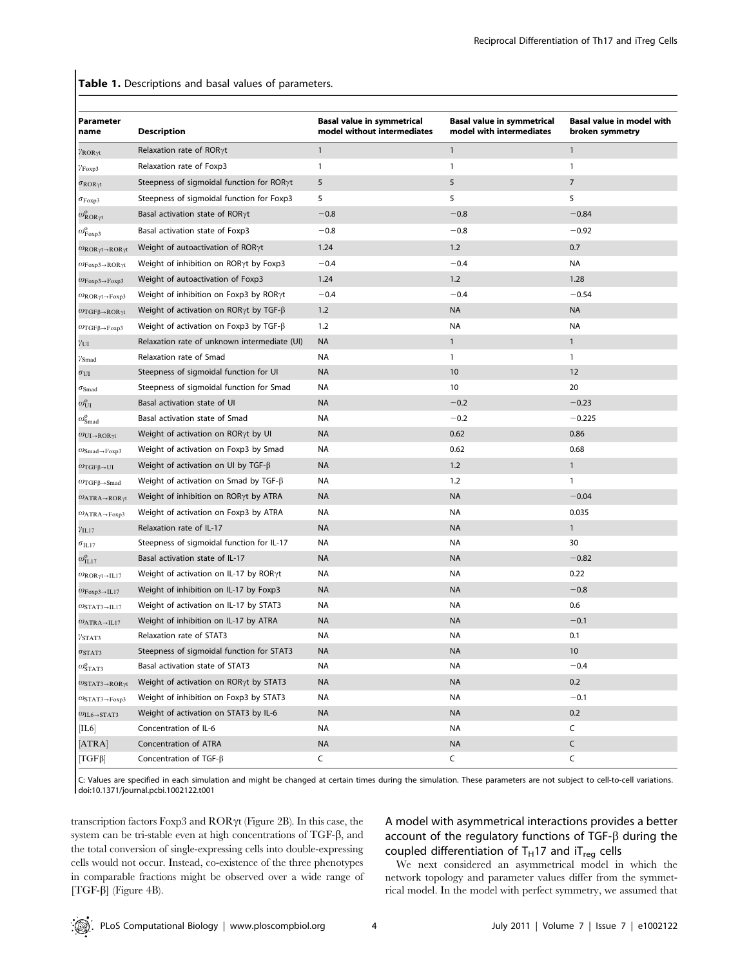Table 1. Descriptions and basal values of parameters.

| Parameter<br>name                                          | <b>Description</b>                                     | <b>Basal value in symmetrical</b><br>model without intermediates | <b>Basal value in symmetrical</b><br>model with intermediates | <b>Basal value in model with</b><br>broken symmetry |
|------------------------------------------------------------|--------------------------------------------------------|------------------------------------------------------------------|---------------------------------------------------------------|-----------------------------------------------------|
| $\gamma_{\rm ROR\gamma t}$                                 | Relaxation rate of ROR $\gamma$ t                      | $\mathbf{1}$                                                     | $\mathbf{1}$                                                  | $\mathbf{1}$                                        |
| $\gamma_{\rm Foxp3}$                                       | Relaxation rate of Foxp3                               | $\mathbf{1}$                                                     | $\mathbf{1}$                                                  | $\mathbf{1}$                                        |
| $\sigma_{\rm ROR\gamma t}$                                 | Steepness of sigmoidal function for RORyt              | 5                                                                | 5                                                             | $\overline{7}$                                      |
| $\sigma_{\rm Foxp3}$                                       | Steepness of sigmoidal function for Foxp3              | 5                                                                | 5                                                             | 5                                                   |
| $\omega_{\text{ROR}\gamma t}^{\upsilon}$                   | Basal activation state of ROR $\gamma$ t               | $-0.8$                                                           | $-0.8$                                                        | $-0.84$                                             |
| $\omega_{\rm Foxp3}^{\rm o}$                               | Basal activation state of Foxp3                        | $-0.8$                                                           | $-0.8$                                                        | $-0.92$                                             |
| $\omega_{\rm ROR\gamma t\rightarrow ROR\gamma t}$          | Weight of autoactivation of ROR $\gamma$ t             | 1.24                                                             | 1.2                                                           | 0.7                                                 |
| $\omega$ Foxp3→ROR $\gamma t$                              | Weight of inhibition on ROR $\gamma$ t by Foxp3        | $-0.4$                                                           | $-0.4$                                                        | NA                                                  |
| $\omega_{\text{Foxp3} \rightarrow \text{Foxp3}}$           | Weight of autoactivation of Foxp3                      | 1.24                                                             | 1.2                                                           | 1.28                                                |
| $\omega_{\text{ROR}\gamma\text{t}\rightarrow\text{Foxp3}}$ | Weight of inhibition on Foxp3 by ROR $\gamma t$        | $-0.4$                                                           | $-0.4$                                                        | $-0.54$                                             |
| $\omega_{TGF\beta\rightarrow ROR\gamma t}$                 | Weight of activation on ROR $\gamma$ t by TGF- $\beta$ | 1.2                                                              | <b>NA</b>                                                     | <b>NA</b>                                           |
| $\omega$ TGF $\beta \rightarrow$ Foxp3                     | Weight of activation on Foxp3 by TGF- $\beta$          | 1.2                                                              | <b>NA</b>                                                     | NA                                                  |
| γш                                                         | Relaxation rate of unknown intermediate (UI)           | <b>NA</b>                                                        | $\mathbf{1}$                                                  | $\mathbf{1}$                                        |
| $\gamma_{\rm Smad}$                                        | Relaxation rate of Smad                                | <b>NA</b>                                                        | $\mathbf{1}$                                                  | $\mathbf{1}$                                        |
| $\sigma_{\rm UI}$                                          | Steepness of sigmoidal function for UI                 | <b>NA</b>                                                        | 10                                                            | 12                                                  |
| $\sigma$ Smad                                              | Steepness of sigmoidal function for Smad               | NA                                                               | 10                                                            | 20                                                  |
| $\omega_\mathrm{UI}^\mathrm{o}$                            | Basal activation state of UI                           | <b>NA</b>                                                        | $-0.2$                                                        | $-0.23$                                             |
| $\omega^{\mathrm{o}}_{\mathrm{Smad}}$                      | Basal activation state of Smad                         | NA                                                               | $-0.2$                                                        | $-0.225$                                            |
| $\omega_{\text{UI}\rightarrow\text{ROR}\gamma\text{t}}$    | Weight of activation on $ROR\gamma t$ by UI            | <b>NA</b>                                                        | 0.62                                                          | 0.86                                                |
| $\omega$ Smad $\rightarrow$ Foxp3                          | Weight of activation on Foxp3 by Smad                  | NA                                                               | 0.62                                                          | 0.68                                                |
| $\omega_{TGF\beta\rightarrow UI}$                          | Weight of activation on UI by TGF- $\beta$             | <b>NA</b>                                                        | 1.2                                                           | $\mathbf{1}$                                        |
| $\omega_{\text{TGF}\beta \rightarrow \text{Smad}}$         | Weight of activation on Smad by TGF- $\beta$           | <b>NA</b>                                                        | 1.2                                                           | 1                                                   |
| $\omega_{\text{ATRA} \rightarrow \text{ROR}\gamma t}$      | Weight of inhibition on ROR <sub>7</sub> t by ATRA     | <b>NA</b>                                                        | <b>NA</b>                                                     | $-0.04$                                             |
| $\omega$ ATRA $\rightarrow$ Foxp3                          | Weight of activation on Foxp3 by ATRA                  | NA                                                               | NA                                                            | 0.035                                               |
| $\gamma_{\rm IL17}$                                        | Relaxation rate of IL-17                               | <b>NA</b>                                                        | <b>NA</b>                                                     | $\mathbf{1}$                                        |
| $\sigma_{\rm IL17}$                                        | Steepness of sigmoidal function for IL-17              | NA                                                               | ΝA                                                            | 30                                                  |
| $\omega^\text{o}_{\text{IL17}}$                            | Basal activation state of IL-17                        | <b>NA</b>                                                        | <b>NA</b>                                                     | $-0.82$                                             |
| $\omega_{\rm ROR\gamma t\rightarrow IL17}$                 | Weight of activation on IL-17 by ROR $\gamma t$        | <b>NA</b>                                                        | <b>NA</b>                                                     | 0.22                                                |
| $\omega_{\text{Foxp3} \rightarrow \text{IL17}}$            | Weight of inhibition on IL-17 by Foxp3                 | <b>NA</b>                                                        | <b>NA</b>                                                     | $-0.8$                                              |
| $\omega$ STAT3 $\rightarrow$ IL17                          | Weight of activation on IL-17 by STAT3                 | <b>NA</b>                                                        | <b>NA</b>                                                     | 0.6                                                 |
| $\omega$ ATRA $\rightarrow$ IL17                           | Weight of inhibition on IL-17 by ATRA                  | <b>NA</b>                                                        | <b>NA</b>                                                     | $-0.1$                                              |
| $\gamma$ stat $_3$                                         | Relaxation rate of STAT3                               | <b>NA</b>                                                        | <b>NA</b>                                                     | 0.1                                                 |
| $\sigma$ STAT3                                             | Steepness of sigmoidal function for STAT3              | <b>NA</b>                                                        | <b>NA</b>                                                     | 10                                                  |
| $\omega^{\mathrm{o}}_{\text{STAT3}}$                       | Basal activation state of STAT3                        | <b>NA</b>                                                        | <b>NA</b>                                                     | $-0.4$                                              |
| $\omega$ STAT3→ROR $\gamma t$                              | Weight of activation on RORyt by STAT3                 | <b>NA</b>                                                        | <b>NA</b>                                                     | 0.2                                                 |
| $\omega$ STAT3 $\rightarrow$ Foxp3                         | Weight of inhibition on Foxp3 by STAT3                 | <b>NA</b>                                                        | NA                                                            | $-0.1$                                              |
| $\omega_{\text{IL6}\rightarrow\text{STAT3}}$               | Weight of activation on STAT3 by IL-6                  | <b>NA</b>                                                        | <b>NA</b>                                                     | 0.2                                                 |
| IL6                                                        | Concentration of IL-6                                  | <b>NA</b>                                                        | NA                                                            | C                                                   |
| [ATRA]                                                     | Concentration of ATRA                                  | <b>NA</b>                                                        | <b>NA</b>                                                     | $\mathsf C$                                         |
| $[TGF\beta]$                                               | Concentration of TGF-B                                 | C                                                                | C                                                             | $\mathsf C$                                         |

C: Values are specified in each simulation and might be changed at certain times during the simulation. These parameters are not subject to cell-to-cell variations. doi:10.1371/journal.pcbi.1002122.t001

transcription factors Foxp3 and  $ROR\gamma t$  (Figure 2B). In this case, the system can be tri-stable even at high concentrations of  $TGF- $\beta$ , and$ the total conversion of single-expressing cells into double-expressing cells would not occur. Instead, co-existence of the three phenotypes in comparable fractions might be observed over a wide range of [TGF- $\beta$ ] (Figure 4B).

## A model with asymmetrical interactions provides a better account of the regulatory functions of TGF- $\beta$  during the coupled differentiation of  $T_H$ 17 and  $T_{req}$  cells

We next considered an asymmetrical model in which the network topology and parameter values differ from the symmetrical model. In the model with perfect symmetry, we assumed that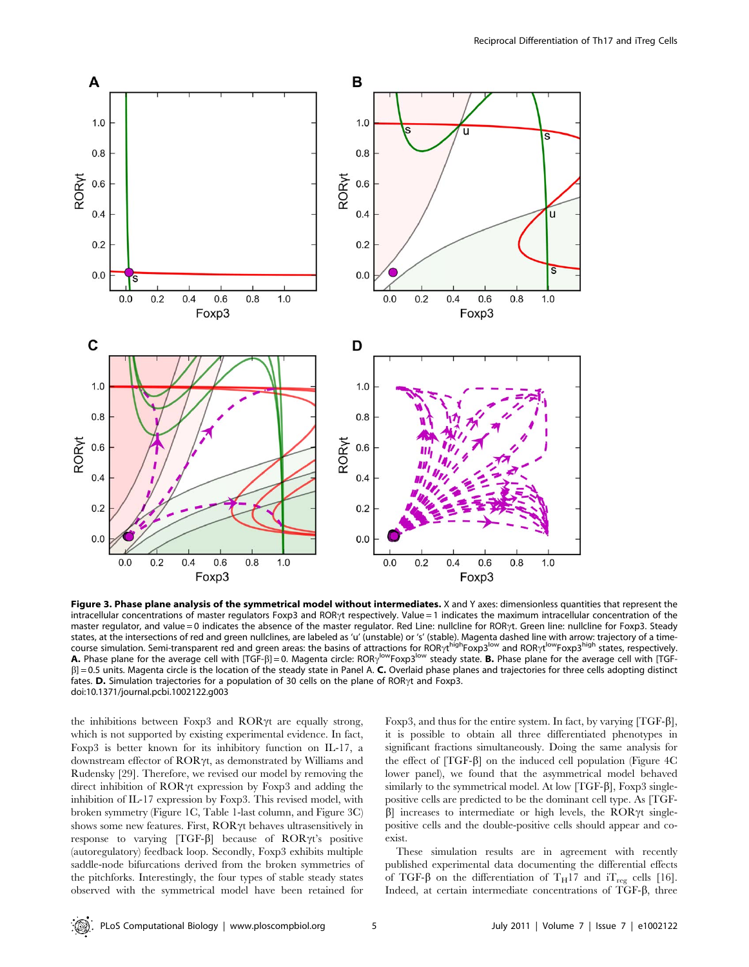

Figure 3. Phase plane analysis of the symmetrical model without intermediates. X and Y axes: dimensionless quantities that represent the intracellular concentrations of master regulators Foxp3 and ROR<sub>Y</sub>t respectively. Value = 1 indicates the maximum intracellular concentration of the master regulator, and value = 0 indicates the absence of the master regulator. Red Line: nullcline for ROR<sub>Y</sub>t. Green line: nullcline for Foxp3. Steady states, at the intersections of red and green nullclines, are labeled as 'u' (unstable) or 's' (stable). Magenta dashed line with arrow: trajectory of a timecourse simulation. Semi-transparent red and green areas: the basins of attractions for ROR<sub>YL</sub><sup>high</sup>Foxp3<sup>low</sup> and ROR<sub>YL</sub>lowFoxp3<sup>high</sup> states, respectively. A. Phase plane for the average cell with [TGF-ß] = 0. Magenta circle: RORy<sup>low</sup>Foxp3<sup>low</sup> steady state. B. Phase plane for the average cell with [TGF- $\beta$ ] = 0.5 units. Magenta circle is the location of the steady state in Panel A. C. Overlaid phase planes and trajectories for three cells adopting distinct fates. D. Simulation trajectories for a population of 30 cells on the plane of ROR $\gamma$ t and Foxp3. doi:10.1371/journal.pcbi.1002122.g003

the inhibitions between Foxp3 and ROR $\gamma$ t are equally strong, which is not supported by existing experimental evidence. In fact, Foxp3 is better known for its inhibitory function on IL-17, a downstream effector of  $ROR\gamma t$ , as demonstrated by Williams and Rudensky [29]. Therefore, we revised our model by removing the direct inhibition of  $ROR\gamma t$  expression by Foxp3 and adding the inhibition of IL-17 expression by Foxp3. This revised model, with broken symmetry (Figure 1C, Table 1-last column, and Figure 3C) shows some new features. First,  $ROR\gamma t$  behaves ultrasensitively in response to varying  $[TGF- $\beta$ ] because of  $ROR\gamma t$ 's positive$ (autoregulatory) feedback loop. Secondly, Foxp3 exhibits multiple saddle-node bifurcations derived from the broken symmetries of the pitchforks. Interestingly, the four types of stable steady states observed with the symmetrical model have been retained for

Foxp3, and thus for the entire system. In fact, by varying  $[TGF- $\beta$ ],$ it is possible to obtain all three differentiated phenotypes in significant fractions simultaneously. Doing the same analysis for the effect of  $[TGF- $\beta$ ]$  on the induced cell population (Figure 4C) lower panel), we found that the asymmetrical model behaved similarly to the symmetrical model. At low  $[TGF- $\beta$ ], Foxp3 single$ positive cells are predicted to be the dominant cell type. As [TGF- $\beta$ ] increases to intermediate or high levels, the ROR $\gamma t$  singlepositive cells and the double-positive cells should appear and coexist.

These simulation results are in agreement with recently published experimental data documenting the differential effects of TGF- $\beta$  on the differentiation of T<sub>H</sub>17 and iT<sub>reg</sub> cells [16]. Indeed, at certain intermediate concentrations of  $TGF- $\beta$ , three$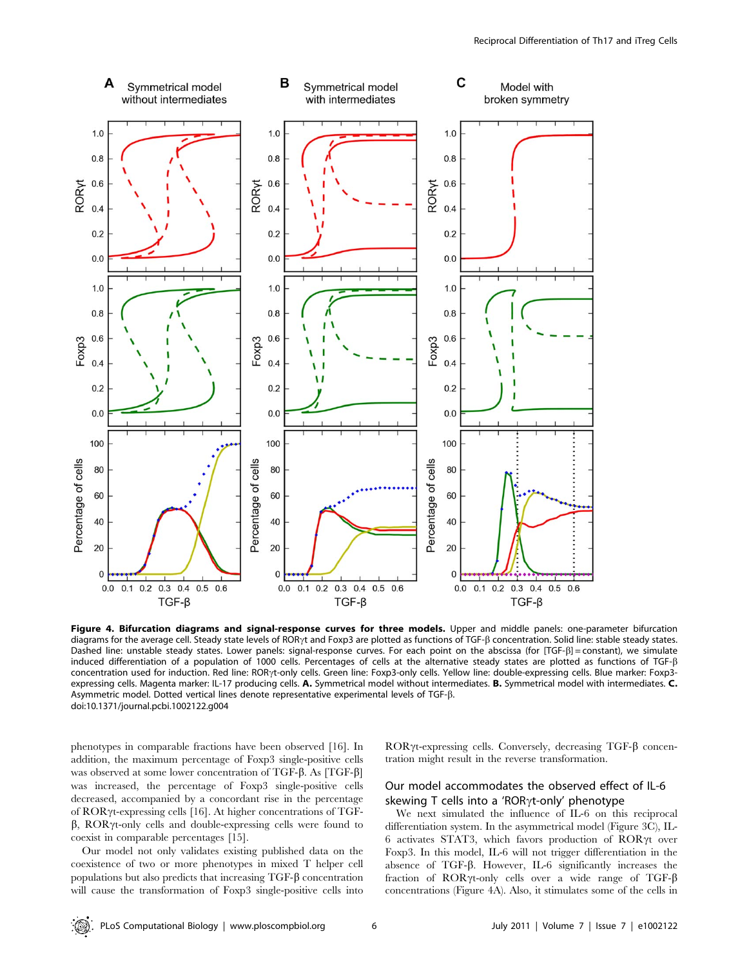

Figure 4. Bifurcation diagrams and signal-response curves for three models. Upper and middle panels: one-parameter bifurcation diagrams for the average cell. Steady state levels of ROR<sub>Y</sub>t and Foxp3 are plotted as functions of TGF-ß concentration. Solid line: stable steady states. Dashed line: unstable steady states. Lower panels: signal-response curves. For each point on the abscissa (for [TGF- $\beta$ ] = constant), we simulate induced differentiation of a population of 1000 cells. Percentages of cells at the alternative steady states are plotted as functions of TGF-β concentration used for induction. Red line: ROR<sub>'(t</sub>-only cells. Green line: Foxp3-only cells. Yellow line: double-expressing cells. Blue marker: Foxp3expressing cells. Magenta marker: IL-17 producing cells. A. Symmetrical model without intermediates. B. Symmetrical model with intermediates. C. Asymmetric model. Dotted vertical lines denote representative experimental levels of TGF-b. doi:10.1371/journal.pcbi.1002122.g004

phenotypes in comparable fractions have been observed [16]. In addition, the maximum percentage of Foxp3 single-positive cells was observed at some lower concentration of TGF- $\beta$ . As [TGF- $\beta$ ] was increased, the percentage of Foxp3 single-positive cells decreased, accompanied by a concordant rise in the percentage of ROR $\gamma$ t-expressing cells [16]. At higher concentrations of TGF- $\beta$ , ROR $\gamma$ t-only cells and double-expressing cells were found to coexist in comparable percentages [15].

Our model not only validates existing published data on the coexistence of two or more phenotypes in mixed T helper cell populations but also predicts that increasing TGF-b concentration will cause the transformation of Foxp3 single-positive cells into  $ROR\gamma t$ -expressing cells. Conversely, decreasing TGF- $\beta$  concentration might result in the reverse transformation.

#### Our model accommodates the observed effect of IL-6 skewing T cells into a 'ROR $\gamma$ t-only' phenotype

We next simulated the influence of IL-6 on this reciprocal differentiation system. In the asymmetrical model (Figure 3C), IL- $6$  activates STAT3, which favors production of ROR $\gamma t$  over Foxp3. In this model, IL-6 will not trigger differentiation in the absence of TGF-b. However, IL-6 significantly increases the fraction of  $ROR\gamma$ t-only cells over a wide range of TGF- $\beta$ concentrations (Figure 4A). Also, it stimulates some of the cells in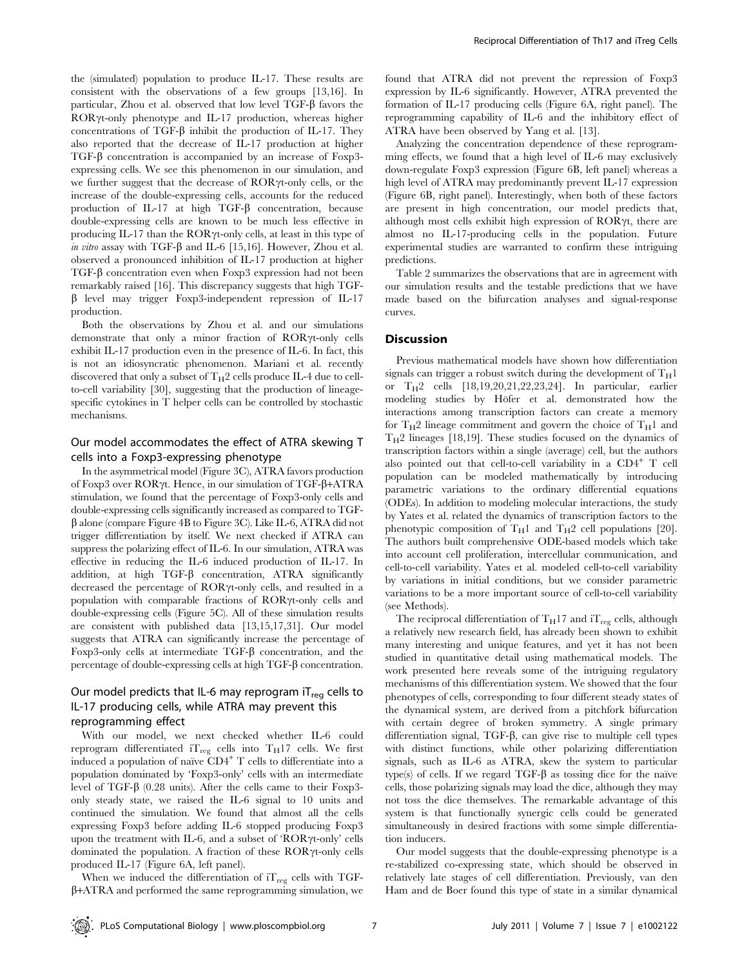the (simulated) population to produce IL-17. These results are consistent with the observations of a few groups [13,16]. In particular, Zhou et al. observed that low level  $TGF-\beta$  favors the  $ROR\gamma$ t-only phenotype and IL-17 production, whereas higher concentrations of  $TGF- $\beta$  inhibit the production of IL-17. They$ also reported that the decrease of IL-17 production at higher  $TGF- $\beta$  concentration is accompanied by an increase of Foxp3$ expressing cells. We see this phenomenon in our simulation, and we further suggest that the decrease of  $ROR\gamma$ -only cells, or the increase of the double-expressing cells, accounts for the reduced production of IL-17 at high  $TGF- $\beta$  concentration, because$ double-expressing cells are known to be much less effective in producing IL-17 than the  $ROR\gamma$ t-only cells, at least in this type of in vitro assay with TGF- $\beta$  and IL-6 [15,16]. However, Zhou et al. observed a pronounced inhibition of IL-17 production at higher  $TGF- $\beta$  concentration even when Foxp3 expression had not been$ remarkably raised [16]. This discrepancy suggests that high TGF- $\beta$  level may trigger Foxp3-independent repression of IL-17 production.

Both the observations by Zhou et al. and our simulations demonstrate that only a minor fraction of ROR $\gamma$ t-only cells exhibit IL-17 production even in the presence of IL-6. In fact, this is not an idiosyncratic phenomenon. Mariani et al. recently discovered that only a subset of  $T_H2$  cells produce IL-4 due to cellto-cell variability [30], suggesting that the production of lineagespecific cytokines in T helper cells can be controlled by stochastic mechanisms.

## Our model accommodates the effect of ATRA skewing T cells into a Foxp3-expressing phenotype

In the asymmetrical model (Figure 3C), ATRA favors production of Foxp3 over  $ROR\gamma t$ . Hence, in our simulation of TGF- $\beta$ +ATRA stimulation, we found that the percentage of Foxp3-only cells and double-expressing cells significantly increased as compared to TGF- $\beta$  alone (compare Figure 4B to Figure 3C). Like IL-6, ATRA did not trigger differentiation by itself. We next checked if ATRA can suppress the polarizing effect of IL-6. In our simulation, ATRA was effective in reducing the IL-6 induced production of IL-17. In addition, at high TGF- $\beta$  concentration, ATRA significantly decreased the percentage of  $ROR\gamma$ t-only cells, and resulted in a population with comparable fractions of  $ROR\gamma$ t-only cells and double-expressing cells (Figure 5C). All of these simulation results are consistent with published data [13,15,17,31]. Our model suggests that ATRA can significantly increase the percentage of Foxp3-only cells at intermediate TGF- $\beta$  concentration, and the percentage of double-expressing cells at high TGF- $\beta$  concentration.

## Our model predicts that IL-6 may reprogram  $IT_{reg}$  cells to IL-17 producing cells, while ATRA may prevent this reprogramming effect

With our model, we next checked whether IL-6 could reprogram differentiated  $iT_{reg}$  cells into  $T_H$ 17 cells. We first induced a population of naïve  $CD4^+$  T cells to differentiate into a population dominated by 'Foxp3-only' cells with an intermediate level of TGF- $\beta$  (0.28 units). After the cells came to their Foxp3only steady state, we raised the IL-6 signal to 10 units and continued the simulation. We found that almost all the cells expressing Foxp3 before adding IL-6 stopped producing Foxp3 upon the treatment with IL-6, and a subset of 'ROR $\gamma$ t-only' cells dominated the population. A fraction of these  $ROR\gamma$ t-only cells produced IL-17 (Figure 6A, left panel).

When we induced the differentiation of  $iT_{reg}$  cells with TGF- $\beta$ +ATRA and performed the same reprogramming simulation, we found that ATRA did not prevent the repression of Foxp3 expression by IL-6 significantly. However, ATRA prevented the formation of IL-17 producing cells (Figure 6A, right panel). The reprogramming capability of IL-6 and the inhibitory effect of ATRA have been observed by Yang et al. [13].

Analyzing the concentration dependence of these reprogramming effects, we found that a high level of IL-6 may exclusively down-regulate Foxp3 expression (Figure 6B, left panel) whereas a high level of ATRA may predominantly prevent IL-17 expression (Figure 6B, right panel). Interestingly, when both of these factors are present in high concentration, our model predicts that, although most cells exhibit high expression of  $ROR\gamma t$ , there are almost no IL-17-producing cells in the population. Future experimental studies are warranted to confirm these intriguing predictions.

Table 2 summarizes the observations that are in agreement with our simulation results and the testable predictions that we have made based on the bifurcation analyses and signal-response curves.

#### **Discussion**

Previous mathematical models have shown how differentiation signals can trigger a robust switch during the development of  $T_H1$ or  $T_H2$  cells  $[18,19,20,21,22,23,24]$ . In particular, earlier modeling studies by Höfer et al. demonstrated how the interactions among transcription factors can create a memory for  $T_H$ <sup>2</sup> lineage commitment and govern the choice of  $T_H$ 1 and  $T_H2$  lineages [18,19]. These studies focused on the dynamics of transcription factors within a single (average) cell, but the authors also pointed out that cell-to-cell variability in a  $CD4^+$  T cell population can be modeled mathematically by introducing parametric variations to the ordinary differential equations (ODEs). In addition to modeling molecular interactions, the study by Yates et al. related the dynamics of transcription factors to the phenotypic composition of  $T_H1$  and  $T_H2$  cell populations [20]. The authors built comprehensive ODE-based models which take into account cell proliferation, intercellular communication, and cell-to-cell variability. Yates et al. modeled cell-to-cell variability by variations in initial conditions, but we consider parametric variations to be a more important source of cell-to-cell variability (see Methods).

The reciprocal differentiation of  $T_H$ 17 and i $T_{reg}$  cells, although a relatively new research field, has already been shown to exhibit many interesting and unique features, and yet it has not been studied in quantitative detail using mathematical models. The work presented here reveals some of the intriguing regulatory mechanisms of this differentiation system. We showed that the four phenotypes of cells, corresponding to four different steady states of the dynamical system, are derived from a pitchfork bifurcation with certain degree of broken symmetry. A single primary differentiation signal, TGF-β, can give rise to multiple cell types with distinct functions, while other polarizing differentiation signals, such as IL-6 as ATRA, skew the system to particular type(s) of cells. If we regard  $TGF-\beta$  as tossing dice for the naïve cells, those polarizing signals may load the dice, although they may not toss the dice themselves. The remarkable advantage of this system is that functionally synergic cells could be generated simultaneously in desired fractions with some simple differentiation inducers.

Our model suggests that the double-expressing phenotype is a re-stabilized co-expressing state, which should be observed in relatively late stages of cell differentiation. Previously, van den Ham and de Boer found this type of state in a similar dynamical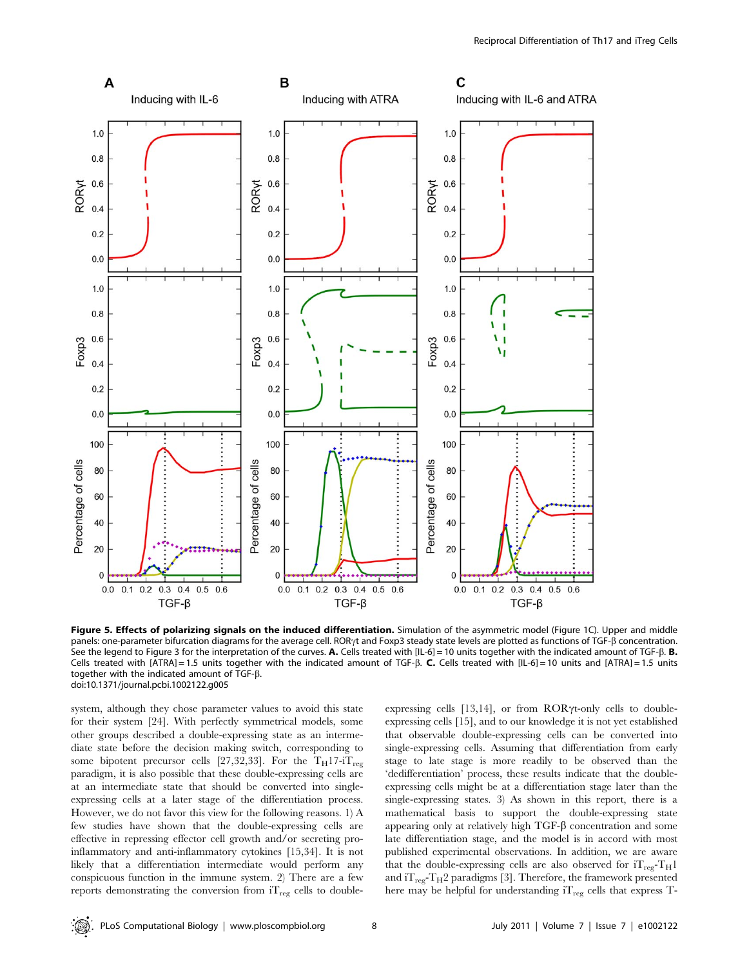

Figure 5. Effects of polarizing signals on the induced differentiation. Simulation of the asymmetric model (Figure 1C). Upper and middle panels: one-parameter bifurcation diagrams for the average cell. ROR<sub>Yt</sub> and Foxp3 steady state levels are plotted as functions of TGF-ß concentration. See the legend to Figure 3 for the interpretation of the curves. A. Cells treated with [IL-6] = 10 units together with the indicated amount of TGF- $\beta$ . B. Cells treated with [ATRA] = 1.5 units together with the indicated amount of TGF- $\beta$ . C. Cells treated with [IL-6] = 10 units and [ATRA] = 1.5 units together with the indicated amount of TGF-b. doi:10.1371/journal.pcbi.1002122.g005

system, although they chose parameter values to avoid this state for their system [24]. With perfectly symmetrical models, some other groups described a double-expressing state as an intermediate state before the decision making switch, corresponding to some bipotent precursor cells [27,32,33]. For the T<sub>H</sub>17-iT<sub>reg</sub> paradigm, it is also possible that these double-expressing cells are at an intermediate state that should be converted into singleexpressing cells at a later stage of the differentiation process. However, we do not favor this view for the following reasons. 1) A few studies have shown that the double-expressing cells are effective in repressing effector cell growth and/or secreting proinflammatory and anti-inflammatory cytokines [15,34]. It is not likely that a differentiation intermediate would perform any conspicuous function in the immune system. 2) There are a few reports demonstrating the conversion from  $iT_{reg}$  cells to doubleexpressing cells  $[13,14]$ , or from ROR $\gamma$ t-only cells to doubleexpressing cells [15], and to our knowledge it is not yet established that observable double-expressing cells can be converted into single-expressing cells. Assuming that differentiation from early stage to late stage is more readily to be observed than the 'dedifferentiation' process, these results indicate that the doubleexpressing cells might be at a differentiation stage later than the single-expressing states. 3) As shown in this report, there is a mathematical basis to support the double-expressing state appearing only at relatively high TGF- $\beta$  concentration and some late differentiation stage, and the model is in accord with most published experimental observations. In addition, we are aware that the double-expressing cells are also observed for  $iT_{reg}-T_H1$ and  $iT_{reg}T_H2$  paradigms [3]. Therefore, the framework presented here may be helpful for understanding  $i T_{reg}$  cells that express T-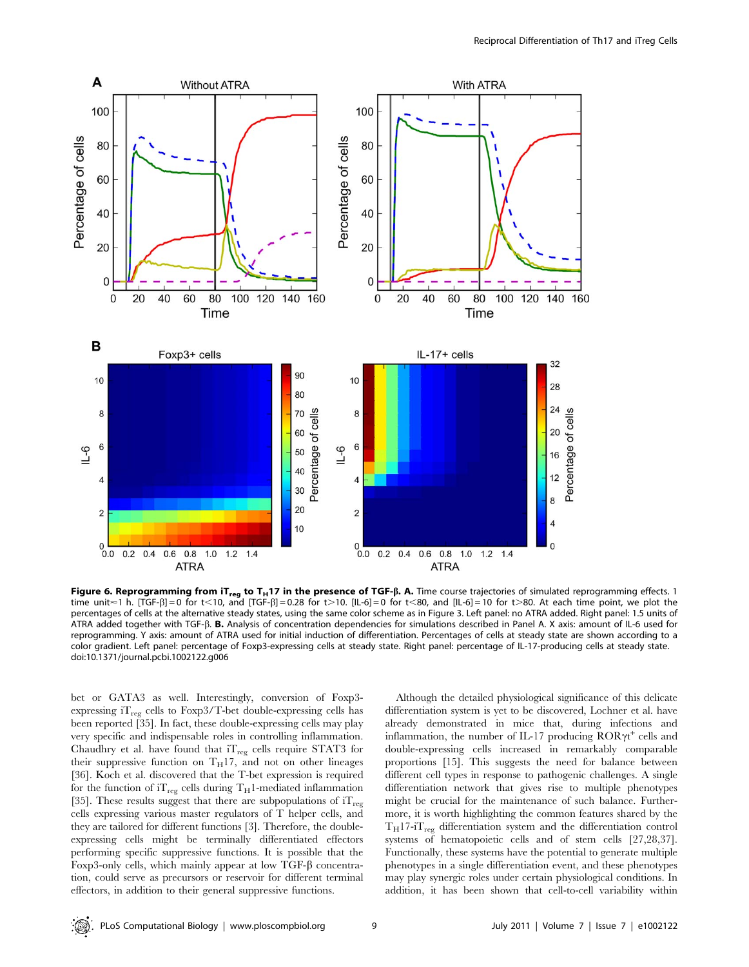

Figure 6. Reprogramming from  $iT_{reg}$  to  $T_H$ 17 in the presence of TGF- $\beta$ . A. Time course trajectories of simulated reprogramming effects. 1 time unit  $\approx$  1 h. [TGF- $\beta$ ] = 0 for t<10, and [TGF- $\beta$ ] = 0.28 for t>10. [IL-6] = 0 for t<80, and [IL-6] = 10 for t>80. At each time point, we plot the percentages of cells at the alternative steady states, using the same color scheme as in Figure 3. Left panel: no ATRA added. Right panel: 1.5 units of ATRA added together with TGF- $\beta$ . B. Analysis of concentration dependencies for simulations described in Panel A. X axis: amount of IL-6 used for reprogramming. Y axis: amount of ATRA used for initial induction of differentiation. Percentages of cells at steady state are shown according to a color gradient. Left panel: percentage of Foxp3-expressing cells at steady state. Right panel: percentage of IL-17-producing cells at steady state. doi:10.1371/journal.pcbi.1002122.g006

bet or GATA3 as well. Interestingly, conversion of Foxp3 expressing  $iT_{reg}$  cells to Foxp3/T-bet double-expressing cells has been reported [35]. In fact, these double-expressing cells may play very specific and indispensable roles in controlling inflammation. Chaudhry et al. have found that  $iT_{reg}$  cells require STAT3 for their suppressive function on  $T_H17$ , and not on other lineages [36]. Koch et al. discovered that the T-bet expression is required for the function of  $iT_{reg}$  cells during  $T_H1$ -mediated inflammation [35]. These results suggest that there are subpopulations of  $iT_{reg}$ cells expressing various master regulators of T helper cells, and they are tailored for different functions [3]. Therefore, the doubleexpressing cells might be terminally differentiated effectors performing specific suppressive functions. It is possible that the Foxp3-only cells, which mainly appear at low TGF- $\beta$  concentration, could serve as precursors or reservoir for different terminal effectors, in addition to their general suppressive functions.

Although the detailed physiological significance of this delicate differentiation system is yet to be discovered, Lochner et al. have already demonstrated in mice that, during infections and inflammation, the number of IL-17 producing  $\overline{ROR}\gamma t^+$  cells and double-expressing cells increased in remarkably comparable proportions [15]. This suggests the need for balance between different cell types in response to pathogenic challenges. A single differentiation network that gives rise to multiple phenotypes might be crucial for the maintenance of such balance. Furthermore, it is worth highlighting the common features shared by the  $T_H$ 17-i $T_{reg}$  differentiation system and the differentiation control systems of hematopoietic cells and of stem cells [27,28,37]. Functionally, these systems have the potential to generate multiple phenotypes in a single differentiation event, and these phenotypes may play synergic roles under certain physiological conditions. In addition, it has been shown that cell-to-cell variability within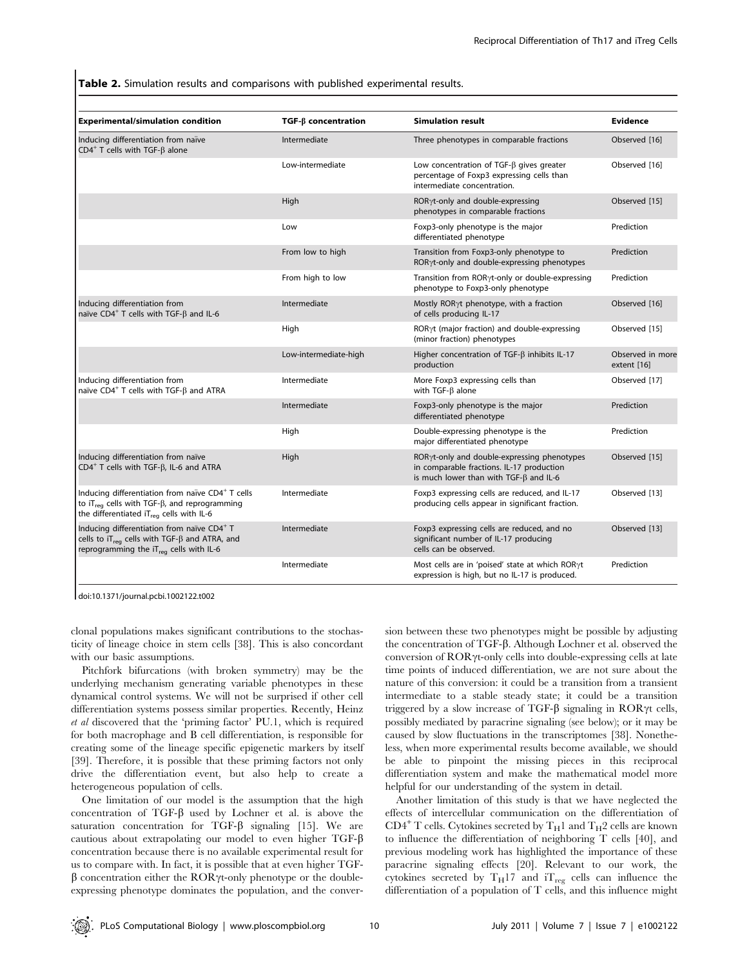Table 2. Simulation results and comparisons with published experimental results.

| <b>Experimental/simulation condition</b>                                                                                                                                                 | $TGF-\beta$ concentration | <b>Simulation result</b>                                                                                                                              | <b>Evidence</b>                 |
|------------------------------------------------------------------------------------------------------------------------------------------------------------------------------------------|---------------------------|-------------------------------------------------------------------------------------------------------------------------------------------------------|---------------------------------|
| Inducing differentiation from naïve<br>$CD4^+$ T cells with TGF- $\beta$ alone                                                                                                           | Intermediate              | Three phenotypes in comparable fractions                                                                                                              | Observed [16]                   |
|                                                                                                                                                                                          | Low-intermediate          | Low concentration of TGF- $\beta$ gives greater<br>percentage of Foxp3 expressing cells than<br>intermediate concentration.                           | Observed [16]                   |
|                                                                                                                                                                                          | High                      | ROR <sub>Y</sub> t-only and double-expressing<br>phenotypes in comparable fractions                                                                   | Observed [15]                   |
|                                                                                                                                                                                          | Low                       | Foxp3-only phenotype is the major<br>differentiated phenotype                                                                                         | Prediction                      |
|                                                                                                                                                                                          | From low to high          | Transition from Foxp3-only phenotype to<br>ROR <sub>Y</sub> t-only and double-expressing phenotypes                                                   | Prediction                      |
|                                                                                                                                                                                          | From high to low          | Transition from RORyt-only or double-expressing<br>phenotype to Foxp3-only phenotype                                                                  | Prediction                      |
| Inducing differentiation from<br>naïve CD4 <sup>+</sup> T cells with TGF- $\beta$ and IL-6                                                                                               | Intermediate              | Mostly RORyt phenotype, with a fraction<br>of cells producing IL-17                                                                                   | Observed [16]                   |
|                                                                                                                                                                                          | High                      | ROR <sub>Y</sub> t (major fraction) and double-expressing<br>(minor fraction) phenotypes                                                              | Observed [15]                   |
|                                                                                                                                                                                          | Low-intermediate-high     | Higher concentration of TGF- $\beta$ inhibits IL-17<br>production                                                                                     | Observed in more<br>extent [16] |
| Inducing differentiation from<br>naïve CD4 <sup>+</sup> T cells with TGF- $\beta$ and ATRA                                                                                               | Intermediate              | More Foxp3 expressing cells than<br>with $TGF-B$ alone                                                                                                | Observed [17]                   |
|                                                                                                                                                                                          | Intermediate              | Foxp3-only phenotype is the major<br>differentiated phenotype                                                                                         | Prediction                      |
|                                                                                                                                                                                          | High                      | Double-expressing phenotype is the<br>major differentiated phenotype                                                                                  | Prediction                      |
| Inducing differentiation from naïve<br>$CD4^+$ T cells with TGF- $\beta$ , IL-6 and ATRA                                                                                                 | High                      | ROR <sub>Y</sub> t-only and double-expressing phenotypes<br>in comparable fractions. IL-17 production<br>is much lower than with $TGF-\beta$ and IL-6 | Observed [15]                   |
| Inducing differentiation from naïve CD4 <sup>+</sup> T cells<br>to $iT_{\text{rea}}$ cells with TGF- $\beta$ , and reprogramming<br>the differentiated iT <sub>rea</sub> cells with IL-6 | Intermediate              | Foxp3 expressing cells are reduced, and IL-17<br>producing cells appear in significant fraction.                                                      | Observed [13]                   |
| Inducing differentiation from naïve CD4+ T<br>cells to $iT_{reg}$ cells with TGF- $\beta$ and ATRA, and<br>reprogramming the iT <sub>req</sub> cells with IL-6                           | Intermediate              | Foxp3 expressing cells are reduced, and no<br>significant number of IL-17 producing<br>cells can be observed.                                         | Observed [13]                   |
|                                                                                                                                                                                          | Intermediate              | Most cells are in 'poised' state at which RORyt<br>expression is high, but no IL-17 is produced.                                                      | Prediction                      |

doi:10.1371/journal.pcbi.1002122.t002

clonal populations makes significant contributions to the stochasticity of lineage choice in stem cells [38]. This is also concordant with our basic assumptions.

Pitchfork bifurcations (with broken symmetry) may be the underlying mechanism generating variable phenotypes in these dynamical control systems. We will not be surprised if other cell differentiation systems possess similar properties. Recently, Heinz et al discovered that the 'priming factor' PU.1, which is required for both macrophage and B cell differentiation, is responsible for creating some of the lineage specific epigenetic markers by itself [39]. Therefore, it is possible that these priming factors not only drive the differentiation event, but also help to create a heterogeneous population of cells.

One limitation of our model is the assumption that the high concentration of TGF- $\beta$  used by Lochner et al. is above the saturation concentration for TGF- $\beta$  signaling [15]. We are cautious about extrapolating our model to even higher TGF-b concentration because there is no available experimental result for us to compare with. In fact, it is possible that at even higher TGF- $\beta$  concentration either the ROR $\gamma$ t-only phenotype or the doubleexpressing phenotype dominates the population, and the conver-

sion between these two phenotypes might be possible by adjusting the concentration of TGF-β. Although Lochner et al. observed the conversion of  $ROR\gamma$ t-only cells into double-expressing cells at late time points of induced differentiation, we are not sure about the nature of this conversion: it could be a transition from a transient intermediate to a stable steady state; it could be a transition triggered by a slow increase of TGF- $\beta$  signaling in ROR $\gamma$ t cells, possibly mediated by paracrine signaling (see below); or it may be caused by slow fluctuations in the transcriptomes [38]. Nonetheless, when more experimental results become available, we should be able to pinpoint the missing pieces in this reciprocal differentiation system and make the mathematical model more helpful for our understanding of the system in detail.

Another limitation of this study is that we have neglected the effects of intercellular communication on the differentiation of  $CD4^+$  T cells. Cytokines secreted by T<sub>H</sub>1 and T<sub>H</sub>2 cells are known to influence the differentiation of neighboring T cells [40], and previous modeling work has highlighted the importance of these paracrine signaling effects [20]. Relevant to our work, the cytokines secreted by  $\rm T_H17$  and  $\rm iT_{reg}$  cells can influence the differentiation of a population of T cells, and this influence might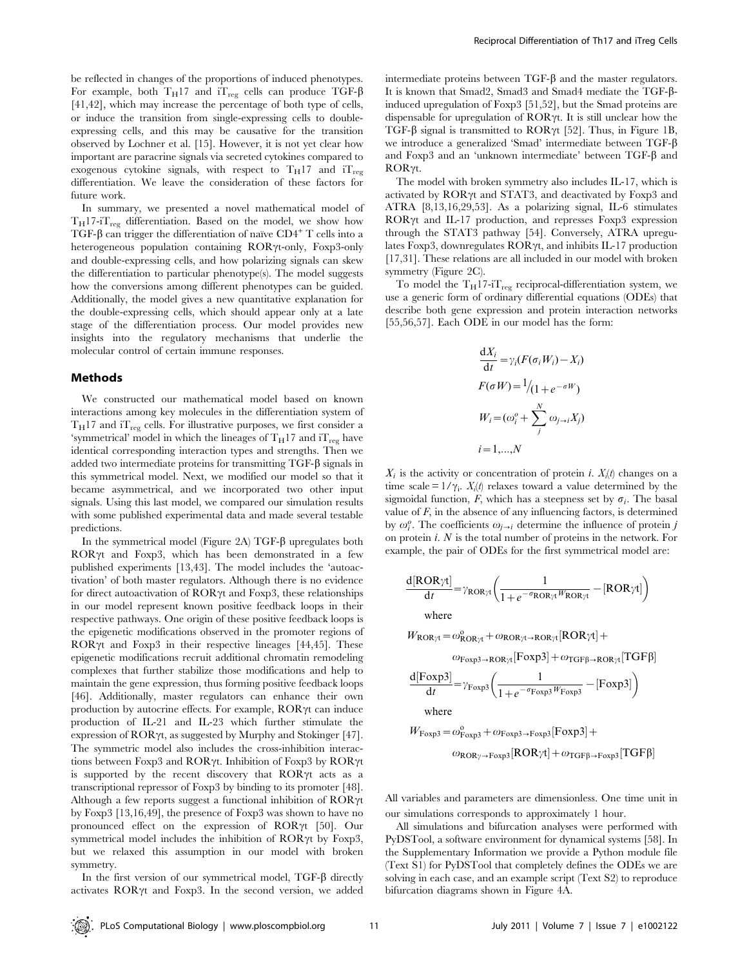be reflected in changes of the proportions of induced phenotypes. For example, both  $T_H17$  and  $T_{reg}$  cells can produce TGF- $\beta$ [41,42], which may increase the percentage of both type of cells, or induce the transition from single-expressing cells to doubleexpressing cells, and this may be causative for the transition observed by Lochner et al. [15]. However, it is not yet clear how important are paracrine signals via secreted cytokines compared to exogenous cytokine signals, with respect to  $T_H17$  and  $T_{reg}$ differentiation. We leave the consideration of these factors for future work.

In summary, we presented a novel mathematical model of  $T_H$ 17-i $T_{\text{rec}}$  differentiation. Based on the model, we show how TGF- $\beta$  can trigger the differentiation of naïve CD4<sup>+</sup> T cells into a heterogeneous population containing  $ROR\gamma$ t-only, Foxp3-only and double-expressing cells, and how polarizing signals can skew the differentiation to particular phenotype(s). The model suggests how the conversions among different phenotypes can be guided. Additionally, the model gives a new quantitative explanation for the double-expressing cells, which should appear only at a late stage of the differentiation process. Our model provides new insights into the regulatory mechanisms that underlie the molecular control of certain immune responses.

#### Methods

We constructed our mathematical model based on known interactions among key molecules in the differentiation system of  $T_H$ 17 and  $T_{reg}$  cells. For illustrative purposes, we first consider a 'symmetrical' model in which the lineages of  $T_H17$  and  $T_{reg}$  have identical corresponding interaction types and strengths. Then we added two intermediate proteins for transmitting  $TGF-\beta$  signals in this symmetrical model. Next, we modified our model so that it became asymmetrical, and we incorporated two other input signals. Using this last model, we compared our simulation results with some published experimental data and made several testable predictions.

In the symmetrical model (Figure 2A)  $TGF-\beta$  upregulates both  $ROR\gamma t$  and Foxp3, which has been demonstrated in a few published experiments [13,43]. The model includes the 'autoactivation' of both master regulators. Although there is no evidence for direct autoactivation of  $ROR\gamma t$  and  $Forp3$ , these relationships in our model represent known positive feedback loops in their respective pathways. One origin of these positive feedback loops is the epigenetic modifications observed in the promoter regions of ROR $\gamma$ t and Foxp3 in their respective lineages [44,45]. These epigenetic modifications recruit additional chromatin remodeling complexes that further stabilize those modifications and help to maintain the gene expression, thus forming positive feedback loops [46]. Additionally, master regulators can enhance their own production by autocrine effects. For example,  $ROR\gamma t$  can induce production of IL-21 and IL-23 which further stimulate the expression of  $ROR\gamma t$ , as suggested by Murphy and Stokinger [47]. The symmetric model also includes the cross-inhibition interactions between Foxp3 and ROR $\gamma$ t. Inhibition of Foxp3 by ROR $\gamma$ t is supported by the recent discovery that  $ROR\gamma t$  acts as a transcriptional repressor of Foxp3 by binding to its promoter [48]. Although a few reports suggest a functional inhibition of  $ROR\gamma t$ by Foxp3 [13,16,49], the presence of Foxp3 was shown to have no pronounced effect on the expression of  $ROR\gamma t$  [50]. Our symmetrical model includes the inhibition of  $ROR\gamma t$  by Foxp3, but we relaxed this assumption in our model with broken symmetry.

In the first version of our symmetrical model, TGF- $\beta$  directly activates  $ROR\gamma t$  and Foxp3. In the second version, we added intermediate proteins between  $TGF- $\beta$  and the master regulators.$ It is known that Smad2, Smad3 and Smad4 mediate the TGF-binduced upregulation of Foxp3 [51,52], but the Smad proteins are dispensable for upregulation of  $ROR\gamma t$ . It is still unclear how the TGF- $\beta$  signal is transmitted to ROR $\gamma$ t [52]. Thus, in Figure 1B, we introduce a generalized 'Smad' intermediate between TGF-b and Foxp3 and an 'unknown intermediate' between  $TGF-\beta$  and  $ROR\gamma t$ .

The model with broken symmetry also includes IL-17, which is activated by  $ROR\gamma t$  and  $STAT3$ , and deactivated by Foxp3 and ATRA [8,13,16,29,53]. As a polarizing signal, IL-6 stimulates  $ROR\gamma t$  and IL-17 production, and represses Foxp3 expression through the STAT3 pathway [54]. Conversely, ATRA upregulates Foxp3, downregulates  $ROR\gamma t$ , and inhibits IL-17 production [17,31]. These relations are all included in our model with broken symmetry (Figure 2C).

To model the  $\rm T_H17\mbox{-}iT_{reg}$  reciprocal-differentiation system, we use a generic form of ordinary differential equations (ODEs) that describe both gene expression and protein interaction networks [55,56,57]. Each ODE in our model has the form:

$$
\frac{dX_i}{dt} = \gamma_i (F(\sigma_i W_i) - X_i)
$$

$$
F(\sigma W) = \frac{1}{1 + e^{-\sigma W}}
$$

$$
W_i = (\omega_i^o + \sum_j^N \omega_{j \to i} X_j)
$$

$$
i = 1, ..., N
$$

 $X_i$  is the activity or concentration of protein *i*.  $X_i(t)$  changes on a time scale =  $1/\gamma_i$ .  $X_i(t)$  relaxes toward a value determined by the sigmoidal function, F, which has a steepness set by  $\sigma_i$ . The basal value of  $F$ , in the absence of any influencing factors, is determined by  $\omega_i^o$ . The coefficients  $\omega_{j\rightarrow i}$  determine the influence of protein j on protein i. N is the total number of proteins in the network. For example, the pair of ODEs for the first symmetrical model are:

$$
\frac{d[ROR\gamma t]}{dt} = \gamma_{ROR\gamma t} \left( \frac{1}{1 + e^{-\sigma_{ROR\gamma t}W_{ROR\gamma t}}} - [ROR\gamma t] \right)
$$
  
where

 $W_{\text{ROR}\gamma t} = \omega_{\text{ROR}\gamma t}^{\text{o}} + \omega_{\text{ROR}\gamma t \rightarrow \text{ROR}\gamma t}[\text{ROR}\gamma t] +$ 

 $\omega_{\text{Foxp3}\rightarrow \text{ROR}\gamma t}[\text{Foxp3}] + \omega_{\text{TGF}\beta \rightarrow \text{ROR}\gamma t}[\text{TGF}\beta]$ 

$$
\frac{\text{d}[\text{Foxp3}]}{\text{d}t} = \gamma_{\text{Foxp3}} \left( \frac{1}{1 + e^{-\sigma_{\text{Foxp3}}} W_{\text{Foxp3}}} - [\text{Foxp3}] \right)
$$

where

$$
W_{\text{Foxp3}} = \omega_{\text{Foxp3}}^{\circ} + \omega_{\text{Foxp3}} + \omega_{\text{Foxp3}}[\text{Foxp3}] +
$$
  

$$
\omega_{\text{ROR}\gamma \to \text{Foxp3}}[\text{ROR}\gamma t] + \omega_{\text{TGFB} \to \text{Foxp3}}[\text{TGF}\beta]
$$

All variables and parameters are dimensionless. One time unit in our simulations corresponds to approximately 1 hour.

All simulations and bifurcation analyses were performed with PyDSTool, a software environment for dynamical systems [58]. In the Supplementary Information we provide a Python module file (Text S1) for PyDSTool that completely defines the ODEs we are solving in each case, and an example script (Text S2) to reproduce bifurcation diagrams shown in Figure 4A.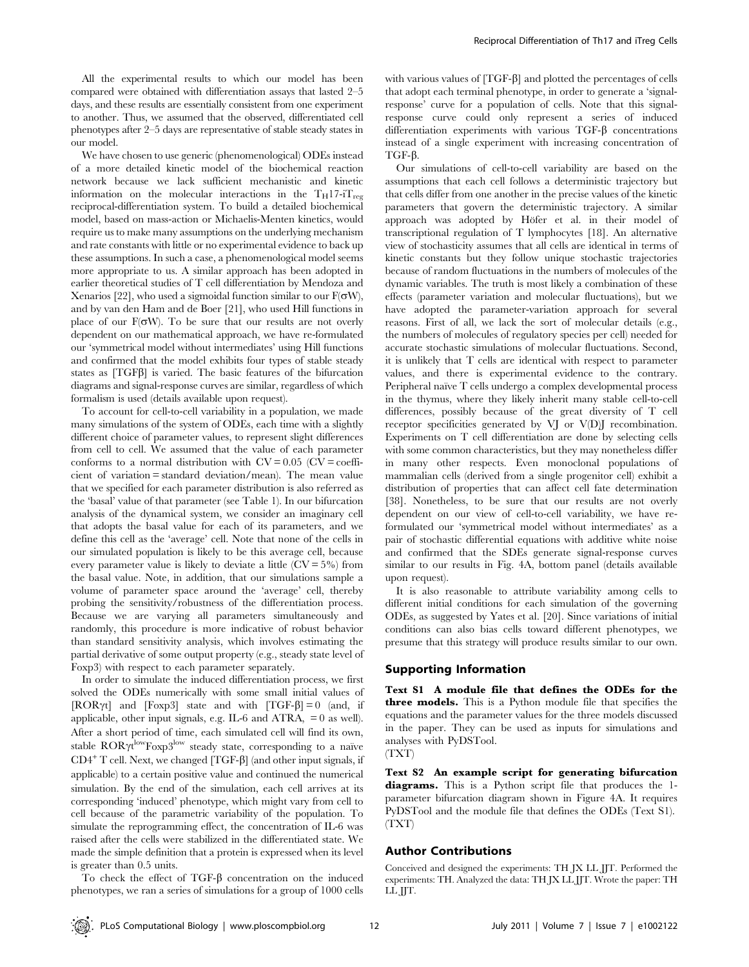All the experimental results to which our model has been compared were obtained with differentiation assays that lasted 2–5 days, and these results are essentially consistent from one experiment to another. Thus, we assumed that the observed, differentiated cell phenotypes after 2–5 days are representative of stable steady states in our model.

We have chosen to use generic (phenomenological) ODEs instead of a more detailed kinetic model of the biochemical reaction network because we lack sufficient mechanistic and kinetic information on the molecular interactions in the  $T_H$ 17-i $T_{reg}$ reciprocal-differentiation system. To build a detailed biochemical model, based on mass-action or Michaelis-Menten kinetics, would require us to make many assumptions on the underlying mechanism and rate constants with little or no experimental evidence to back up these assumptions. In such a case, a phenomenological model seems more appropriate to us. A similar approach has been adopted in earlier theoretical studies of T cell differentiation by Mendoza and Xenarios [22], who used a sigmoidal function similar to our  $F(\sigma W)$ , and by van den Ham and de Boer [21], who used Hill functions in place of our  $F(\sigma W)$ . To be sure that our results are not overly dependent on our mathematical approach, we have re-formulated our 'symmetrical model without intermediates' using Hill functions and confirmed that the model exhibits four types of stable steady states as  $[TGF\beta]$  is varied. The basic features of the bifurcation diagrams and signal-response curves are similar, regardless of which formalism is used (details available upon request).

To account for cell-to-cell variability in a population, we made many simulations of the system of ODEs, each time with a slightly different choice of parameter values, to represent slight differences from cell to cell. We assumed that the value of each parameter conforms to a normal distribution with  $CV = 0.05$  ( $CV = \text{coeffi}$ cient of variation = standard deviation/mean). The mean value that we specified for each parameter distribution is also referred as the 'basal' value of that parameter (see Table 1). In our bifurcation analysis of the dynamical system, we consider an imaginary cell that adopts the basal value for each of its parameters, and we define this cell as the 'average' cell. Note that none of the cells in our simulated population is likely to be this average cell, because every parameter value is likely to deviate a little  $(CV = 5\%)$  from the basal value. Note, in addition, that our simulations sample a volume of parameter space around the 'average' cell, thereby probing the sensitivity/robustness of the differentiation process. Because we are varying all parameters simultaneously and randomly, this procedure is more indicative of robust behavior than standard sensitivity analysis, which involves estimating the partial derivative of some output property (e.g., steady state level of Foxp3) with respect to each parameter separately.

In order to simulate the induced differentiation process, we first solved the ODEs numerically with some small initial values of [ROR $\gamma t$ ] and [Foxp3] state and with [TGF- $\beta$ ] = 0 (and, if applicable, other input signals, e.g. IL-6 and ATRA, = 0 as well). After a short period of time, each simulated cell will find its own, stable  $\text{ROR}\gamma\text{t}^{\text{low}}\text{Foxp3}^{\text{low}}$  steady state, corresponding to a naïve  $CD4^+$  T cell. Next, we changed [TGF- $\beta$ ] (and other input signals, if applicable) to a certain positive value and continued the numerical simulation. By the end of the simulation, each cell arrives at its corresponding 'induced' phenotype, which might vary from cell to cell because of the parametric variability of the population. To simulate the reprogramming effect, the concentration of IL-6 was raised after the cells were stabilized in the differentiated state. We made the simple definition that a protein is expressed when its level is greater than 0.5 units.

To check the effect of TGF- $\beta$  concentration on the induced phenotypes, we ran a series of simulations for a group of 1000 cells

with various values of  $[TGF- $\beta$ ]$  and plotted the percentages of cells that adopt each terminal phenotype, in order to generate a 'signalresponse' curve for a population of cells. Note that this signalresponse curve could only represent a series of induced differentiation experiments with various  $TGF- $\beta$  concentrations$ instead of a single experiment with increasing concentration of  $TGF- $\beta$ .$ 

Our simulations of cell-to-cell variability are based on the assumptions that each cell follows a deterministic trajectory but that cells differ from one another in the precise values of the kinetic parameters that govern the deterministic trajectory. A similar approach was adopted by Höfer et al. in their model of transcriptional regulation of T lymphocytes [18]. An alternative view of stochasticity assumes that all cells are identical in terms of kinetic constants but they follow unique stochastic trajectories because of random fluctuations in the numbers of molecules of the dynamic variables. The truth is most likely a combination of these effects (parameter variation and molecular fluctuations), but we have adopted the parameter-variation approach for several reasons. First of all, we lack the sort of molecular details (e.g., the numbers of molecules of regulatory species per cell) needed for accurate stochastic simulations of molecular fluctuations. Second, it is unlikely that T cells are identical with respect to parameter values, and there is experimental evidence to the contrary. Peripheral naïve T cells undergo a complex developmental process in the thymus, where they likely inherit many stable cell-to-cell differences, possibly because of the great diversity of T cell receptor specificities generated by VJ or V(D)J recombination. Experiments on T cell differentiation are done by selecting cells with some common characteristics, but they may nonetheless differ in many other respects. Even monoclonal populations of mammalian cells (derived from a single progenitor cell) exhibit a distribution of properties that can affect cell fate determination [38]. Nonetheless, to be sure that our results are not overly dependent on our view of cell-to-cell variability, we have reformulated our 'symmetrical model without intermediates' as a pair of stochastic differential equations with additive white noise and confirmed that the SDEs generate signal-response curves similar to our results in Fig. 4A, bottom panel (details available upon request).

It is also reasonable to attribute variability among cells to different initial conditions for each simulation of the governing ODEs, as suggested by Yates et al. [20]. Since variations of initial conditions can also bias cells toward different phenotypes, we presume that this strategy will produce results similar to our own.

#### Supporting Information

Text S1 A module file that defines the ODEs for the three models. This is a Python module file that specifies the equations and the parameter values for the three models discussed in the paper. They can be used as inputs for simulations and analyses with PyDSTool.

(TXT)

Text S2 An example script for generating bifurcation diagrams. This is a Python script file that produces the 1 parameter bifurcation diagram shown in Figure 4A. It requires PyDSTool and the module file that defines the ODEs (Text S1). (TXT)

#### Author Contributions

Conceived and designed the experiments: TH JX LL JJT. Performed the experiments: TH. Analyzed the data: TH JX LL JJT. Wrote the paper: TH LL JJT.